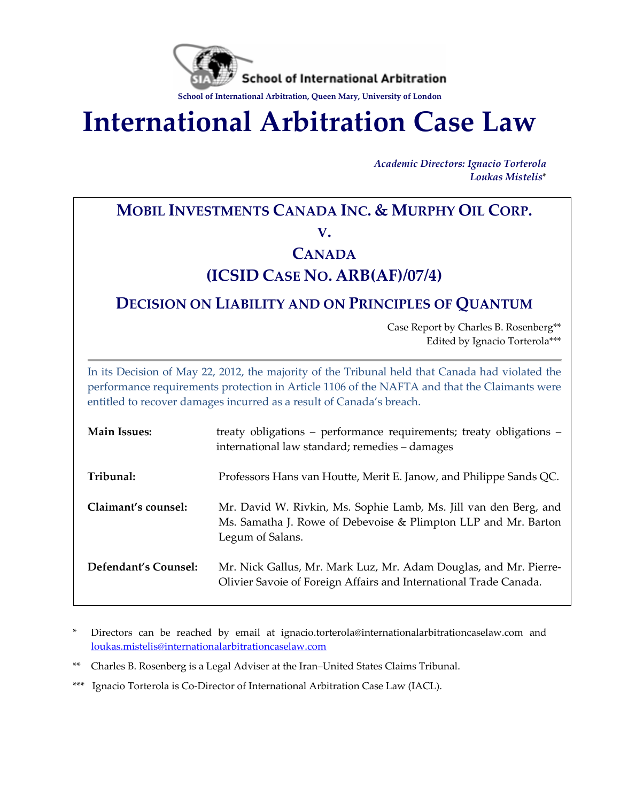

**International Arbitration Case Law**

*Academic Directors: Ignacio Torterola Loukas Mistelis*\*

# **MOBIL INVESTMENTS CANADA INC. & MURPHY OIL CORP. V.**

# **CANADA**

# **(ICSID CASE NO. ARB(AF)/07/4)**

# **DECISION ON LIABILITY AND ON PRINCIPLES OF QUANTUM**

Case Report by Charles B. Rosenberg\*\* Edited by Ignacio Torterola\*\*\*

In its Decision of May 22, 2012, the majority of the Tribunal held that Canada had violated the performance requirements protection in Article 1106 of the NAFTA and that the Claimants were entitled to recover damages incurred as a result of Canada's breach.

| <b>Main Issues:</b>  | treaty obligations - performance requirements; treaty obligations -<br>international law standard; remedies - damages                                  |
|----------------------|--------------------------------------------------------------------------------------------------------------------------------------------------------|
| Tribunal:            | Professors Hans van Houtte, Merit E. Janow, and Philippe Sands QC.                                                                                     |
| Claimant's counsel:  | Mr. David W. Rivkin, Ms. Sophie Lamb, Ms. Jill van den Berg, and<br>Ms. Samatha J. Rowe of Debevoise & Plimpton LLP and Mr. Barton<br>Legum of Salans. |
| Defendant's Counsel: | Mr. Nick Gallus, Mr. Mark Luz, Mr. Adam Douglas, and Mr. Pierre-<br>Olivier Savoie of Foreign Affairs and International Trade Canada.                  |

- \* Directors can be reached by email at ignacio.torterola@internationalarbitrationcaselaw.com and [loukas.mistelis@internationalarbitrationcaselaw.com](mailto:loukas.mistelis@internationalarbitrationcaselaw.com)
- \*\* Charles B. Rosenberg is a Legal Adviser at the Iran–United States Claims Tribunal.
- \*\*\* Ignacio Torterola is Co-Director of International Arbitration Case Law (IACL).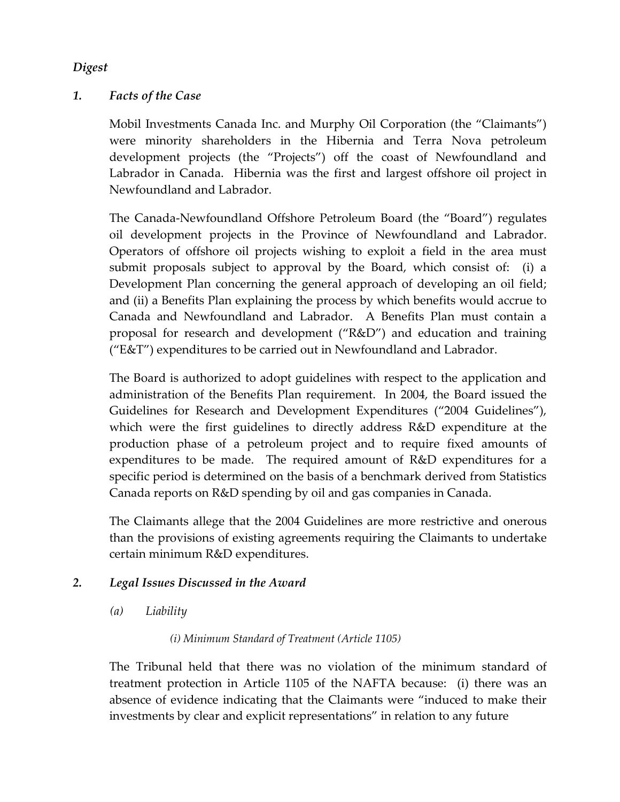## *Digest*

## *1. Facts of the Case*

Mobil Investments Canada Inc. and Murphy Oil Corporation (the "Claimants") were minority shareholders in the Hibernia and Terra Nova petroleum development projects (the "Projects") off the coast of Newfoundland and Labrador in Canada. Hibernia was the first and largest offshore oil project in Newfoundland and Labrador.

The Canada-Newfoundland Offshore Petroleum Board (the "Board") regulates oil development projects in the Province of Newfoundland and Labrador. Operators of offshore oil projects wishing to exploit a field in the area must submit proposals subject to approval by the Board, which consist of: (i) a Development Plan concerning the general approach of developing an oil field; and (ii) a Benefits Plan explaining the process by which benefits would accrue to Canada and Newfoundland and Labrador. A Benefits Plan must contain a proposal for research and development ("R&D") and education and training ("E&T") expenditures to be carried out in Newfoundland and Labrador.

The Board is authorized to adopt guidelines with respect to the application and administration of the Benefits Plan requirement. In 2004, the Board issued the Guidelines for Research and Development Expenditures ("2004 Guidelines"), which were the first guidelines to directly address R&D expenditure at the production phase of a petroleum project and to require fixed amounts of expenditures to be made. The required amount of R&D expenditures for a specific period is determined on the basis of a benchmark derived from Statistics Canada reports on R&D spending by oil and gas companies in Canada.

The Claimants allege that the 2004 Guidelines are more restrictive and onerous than the provisions of existing agreements requiring the Claimants to undertake certain minimum R&D expenditures.

## *2. Legal Issues Discussed in the Award*

*(a) Liability*

#### *(i) Minimum Standard of Treatment (Article 1105)*

The Tribunal held that there was no violation of the minimum standard of treatment protection in Article 1105 of the NAFTA because: (i) there was an absence of evidence indicating that the Claimants were "induced to make their investments by clear and explicit representations" in relation to any future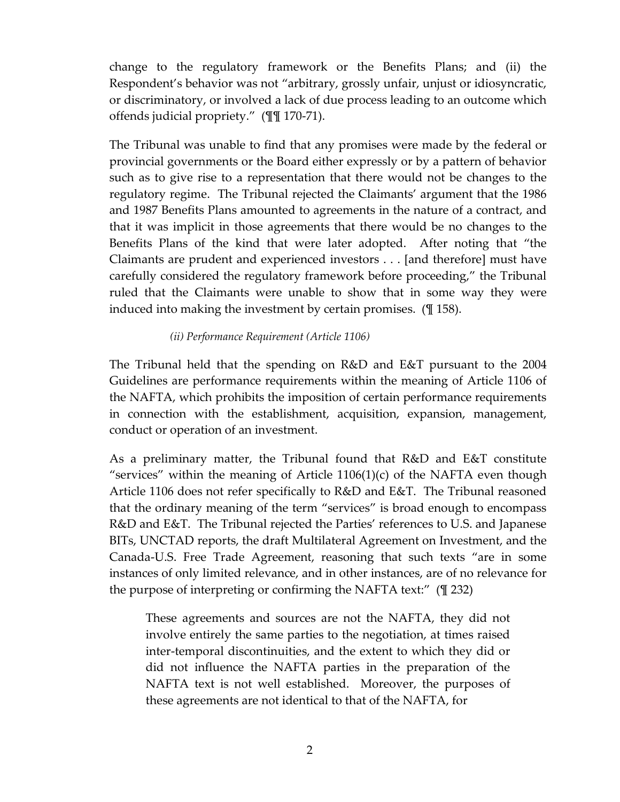change to the regulatory framework or the Benefits Plans; and (ii) the Respondent's behavior was not "arbitrary, grossly unfair, unjust or idiosyncratic, or discriminatory, or involved a lack of due process leading to an outcome which offends judicial propriety." (¶¶ 170-71).

The Tribunal was unable to find that any promises were made by the federal or provincial governments or the Board either expressly or by a pattern of behavior such as to give rise to a representation that there would not be changes to the regulatory regime. The Tribunal rejected the Claimants' argument that the 1986 and 1987 Benefits Plans amounted to agreements in the nature of a contract, and that it was implicit in those agreements that there would be no changes to the Benefits Plans of the kind that were later adopted. After noting that "the Claimants are prudent and experienced investors . . . [and therefore] must have carefully considered the regulatory framework before proceeding," the Tribunal ruled that the Claimants were unable to show that in some way they were induced into making the investment by certain promises. (¶ 158).

#### *(ii) Performance Requirement (Article 1106)*

The Tribunal held that the spending on R&D and E&T pursuant to the 2004 Guidelines are performance requirements within the meaning of Article 1106 of the NAFTA, which prohibits the imposition of certain performance requirements in connection with the establishment, acquisition, expansion, management, conduct or operation of an investment.

As a preliminary matter, the Tribunal found that R&D and E&T constitute "services" within the meaning of Article  $1106(1)(c)$  of the NAFTA even though Article 1106 does not refer specifically to R&D and E&T. The Tribunal reasoned that the ordinary meaning of the term "services" is broad enough to encompass R&D and E&T. The Tribunal rejected the Parties' references to U.S. and Japanese BITs, UNCTAD reports, the draft Multilateral Agreement on Investment, and the Canada-U.S. Free Trade Agreement, reasoning that such texts "are in some instances of only limited relevance, and in other instances, are of no relevance for the purpose of interpreting or confirming the NAFTA text:" (¶ 232)

These agreements and sources are not the NAFTA, they did not involve entirely the same parties to the negotiation, at times raised inter-temporal discontinuities, and the extent to which they did or did not influence the NAFTA parties in the preparation of the NAFTA text is not well established. Moreover, the purposes of these agreements are not identical to that of the NAFTA, for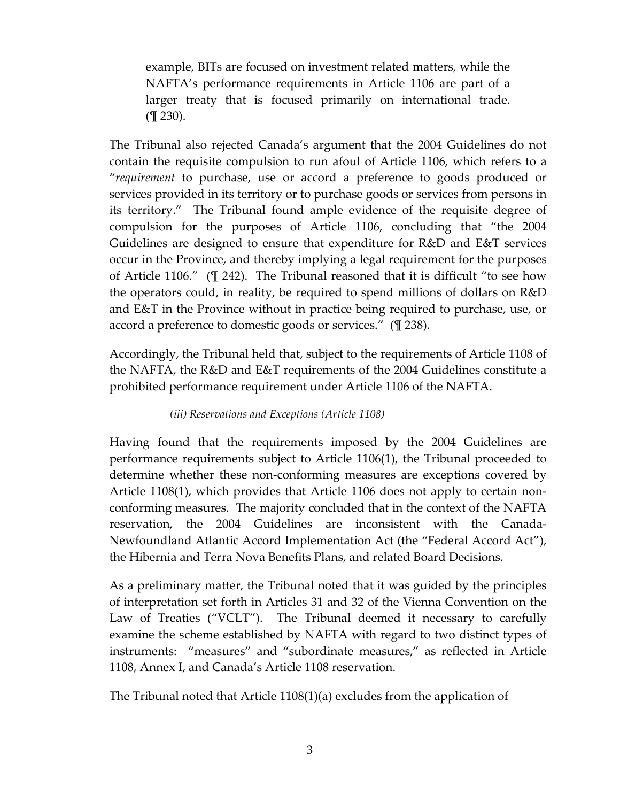example, BITs are focused on investment related matters, while the NAFTA's performance requirements in Article 1106 are part of a larger treaty that is focused primarily on international trade. (¶ 230).

The Tribunal also rejected Canada's argument that the 2004 Guidelines do not contain the requisite compulsion to run afoul of Article 1106, which refers to a "*requirement* to purchase, use or accord a preference to goods produced or services provided in its territory or to purchase goods or services from persons in its territory." The Tribunal found ample evidence of the requisite degree of compulsion for the purposes of Article 1106, concluding that "the 2004 Guidelines are designed to ensure that expenditure for R&D and E&T services occur in the Province, and thereby implying a legal requirement for the purposes of Article 1106." (¶ 242). The Tribunal reasoned that it is difficult "to see how the operators could, in reality, be required to spend millions of dollars on R&D and E&T in the Province without in practice being required to purchase, use, or accord a preference to domestic goods or services." (¶ 238).

Accordingly, the Tribunal held that, subject to the requirements of Article 1108 of the NAFTA, the R&D and E&T requirements of the 2004 Guidelines constitute a prohibited performance requirement under Article 1106 of the NAFTA.

## *(iii) Reservations and Exceptions (Article 1108)*

Having found that the requirements imposed by the 2004 Guidelines are performance requirements subject to Article 1106(1), the Tribunal proceeded to determine whether these non-conforming measures are exceptions covered by Article 1108(1), which provides that Article 1106 does not apply to certain nonconforming measures. The majority concluded that in the context of the NAFTA reservation, the 2004 Guidelines are inconsistent with the Canada-Newfoundland Atlantic Accord Implementation Act (the "Federal Accord Act"), the Hibernia and Terra Nova Benefits Plans, and related Board Decisions.

As a preliminary matter, the Tribunal noted that it was guided by the principles of interpretation set forth in Articles 31 and 32 of the Vienna Convention on the Law of Treaties ("VCLT"). The Tribunal deemed it necessary to carefully examine the scheme established by NAFTA with regard to two distinct types of instruments: "measures" and "subordinate measures," as reflected in Article 1108, Annex I, and Canada's Article 1108 reservation.

The Tribunal noted that Article 1108(1)(a) excludes from the application of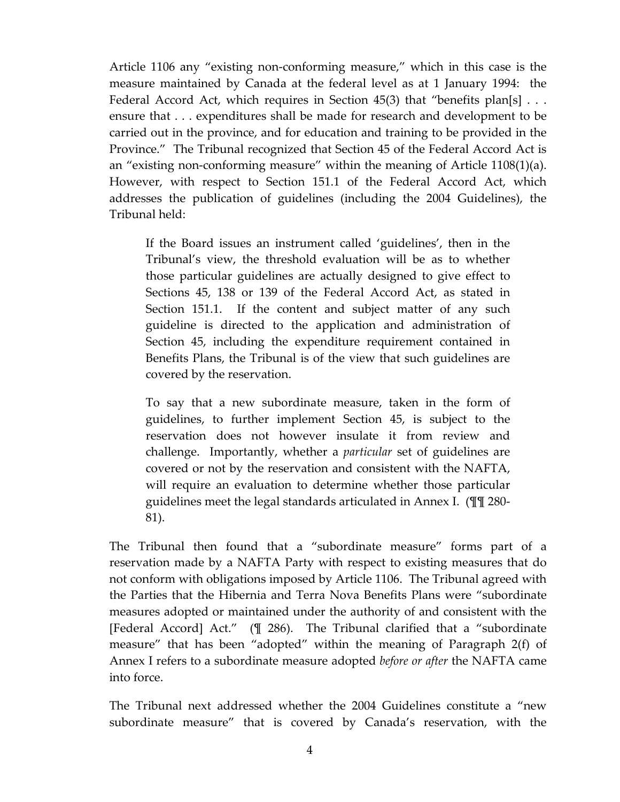Article 1106 any "existing non-conforming measure," which in this case is the measure maintained by Canada at the federal level as at 1 January 1994: the Federal Accord Act, which requires in Section 45(3) that "benefits plan[s]  $\dots$ ensure that . . . expenditures shall be made for research and development to be carried out in the province, and for education and training to be provided in the Province." The Tribunal recognized that Section 45 of the Federal Accord Act is an "existing non-conforming measure" within the meaning of Article 1108(1)(a). However, with respect to Section 151.1 of the Federal Accord Act, which addresses the publication of guidelines (including the 2004 Guidelines), the Tribunal held:

If the Board issues an instrument called 'guidelines', then in the Tribunal's view, the threshold evaluation will be as to whether those particular guidelines are actually designed to give effect to Sections 45, 138 or 139 of the Federal Accord Act, as stated in Section 151.1. If the content and subject matter of any such guideline is directed to the application and administration of Section 45, including the expenditure requirement contained in Benefits Plans, the Tribunal is of the view that such guidelines are covered by the reservation.

To say that a new subordinate measure, taken in the form of guidelines, to further implement Section 45, is subject to the reservation does not however insulate it from review and challenge. Importantly, whether a *particular* set of guidelines are covered or not by the reservation and consistent with the NAFTA, will require an evaluation to determine whether those particular guidelines meet the legal standards articulated in Annex I. (¶¶ 280- 81).

The Tribunal then found that a "subordinate measure" forms part of a reservation made by a NAFTA Party with respect to existing measures that do not conform with obligations imposed by Article 1106. The Tribunal agreed with the Parties that the Hibernia and Terra Nova Benefits Plans were "subordinate measures adopted or maintained under the authority of and consistent with the [Federal Accord] Act." (¶ 286). The Tribunal clarified that a "subordinate measure" that has been "adopted" within the meaning of Paragraph 2(f) of Annex I refers to a subordinate measure adopted *before or after* the NAFTA came into force.

The Tribunal next addressed whether the 2004 Guidelines constitute a "new subordinate measure" that is covered by Canada's reservation, with the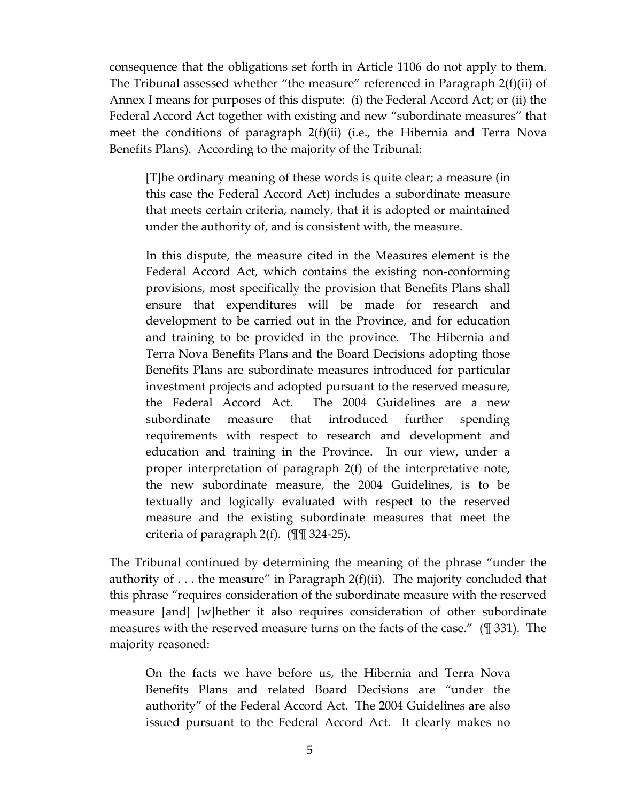consequence that the obligations set forth in Article 1106 do not apply to them. The Tribunal assessed whether "the measure" referenced in Paragraph 2(f)(ii) of Annex I means for purposes of this dispute: (i) the Federal Accord Act; or (ii) the Federal Accord Act together with existing and new "subordinate measures" that meet the conditions of paragraph 2(f)(ii) (i.e., the Hibernia and Terra Nova Benefits Plans). According to the majority of the Tribunal:

[T]he ordinary meaning of these words is quite clear; a measure (in this case the Federal Accord Act) includes a subordinate measure that meets certain criteria, namely, that it is adopted or maintained under the authority of, and is consistent with, the measure.

In this dispute, the measure cited in the Measures element is the Federal Accord Act, which contains the existing non-conforming provisions, most specifically the provision that Benefits Plans shall ensure that expenditures will be made for research and development to be carried out in the Province, and for education and training to be provided in the province. The Hibernia and Terra Nova Benefits Plans and the Board Decisions adopting those Benefits Plans are subordinate measures introduced for particular investment projects and adopted pursuant to the reserved measure, the Federal Accord Act. The 2004 Guidelines are a new subordinate measure that introduced further spending requirements with respect to research and development and education and training in the Province. In our view, under a proper interpretation of paragraph 2(f) of the interpretative note, the new subordinate measure, the 2004 Guidelines, is to be textually and logically evaluated with respect to the reserved measure and the existing subordinate measures that meet the criteria of paragraph 2(f). (¶¶ 324-25).

The Tribunal continued by determining the meaning of the phrase "under the authority of  $\ldots$  the measure" in Paragraph 2(f)(ii). The majority concluded that this phrase "requires consideration of the subordinate measure with the reserved measure [and] [w]hether it also requires consideration of other subordinate measures with the reserved measure turns on the facts of the case." (¶ 331). The majority reasoned:

On the facts we have before us, the Hibernia and Terra Nova Benefits Plans and related Board Decisions are "under the authority" of the Federal Accord Act. The 2004 Guidelines are also issued pursuant to the Federal Accord Act. It clearly makes no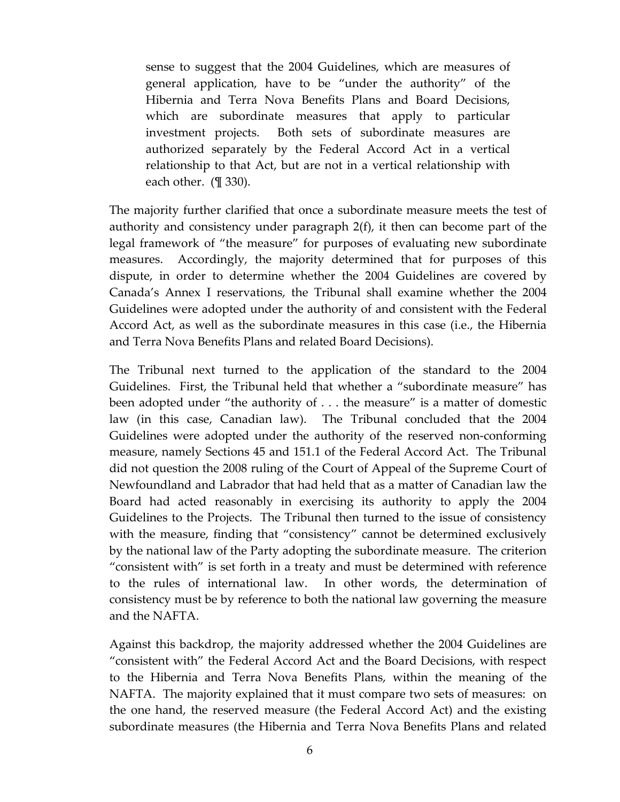sense to suggest that the 2004 Guidelines, which are measures of general application, have to be "under the authority" of the Hibernia and Terra Nova Benefits Plans and Board Decisions, which are subordinate measures that apply to particular investment projects. Both sets of subordinate measures are authorized separately by the Federal Accord Act in a vertical relationship to that Act, but are not in a vertical relationship with each other. (¶ 330).

The majority further clarified that once a subordinate measure meets the test of authority and consistency under paragraph 2(f), it then can become part of the legal framework of "the measure" for purposes of evaluating new subordinate measures. Accordingly, the majority determined that for purposes of this dispute, in order to determine whether the 2004 Guidelines are covered by Canada's Annex I reservations, the Tribunal shall examine whether the 2004 Guidelines were adopted under the authority of and consistent with the Federal Accord Act, as well as the subordinate measures in this case (i.e., the Hibernia and Terra Nova Benefits Plans and related Board Decisions).

The Tribunal next turned to the application of the standard to the 2004 Guidelines. First, the Tribunal held that whether a "subordinate measure" has been adopted under "the authority of . . . the measure" is a matter of domestic law (in this case, Canadian law). The Tribunal concluded that the 2004 Guidelines were adopted under the authority of the reserved non-conforming measure, namely Sections 45 and 151.1 of the Federal Accord Act. The Tribunal did not question the 2008 ruling of the Court of Appeal of the Supreme Court of Newfoundland and Labrador that had held that as a matter of Canadian law the Board had acted reasonably in exercising its authority to apply the 2004 Guidelines to the Projects. The Tribunal then turned to the issue of consistency with the measure, finding that "consistency" cannot be determined exclusively by the national law of the Party adopting the subordinate measure. The criterion "consistent with" is set forth in a treaty and must be determined with reference to the rules of international law. In other words, the determination of consistency must be by reference to both the national law governing the measure and the NAFTA.

Against this backdrop, the majority addressed whether the 2004 Guidelines are "consistent with" the Federal Accord Act and the Board Decisions, with respect to the Hibernia and Terra Nova Benefits Plans, within the meaning of the NAFTA. The majority explained that it must compare two sets of measures: on the one hand, the reserved measure (the Federal Accord Act) and the existing subordinate measures (the Hibernia and Terra Nova Benefits Plans and related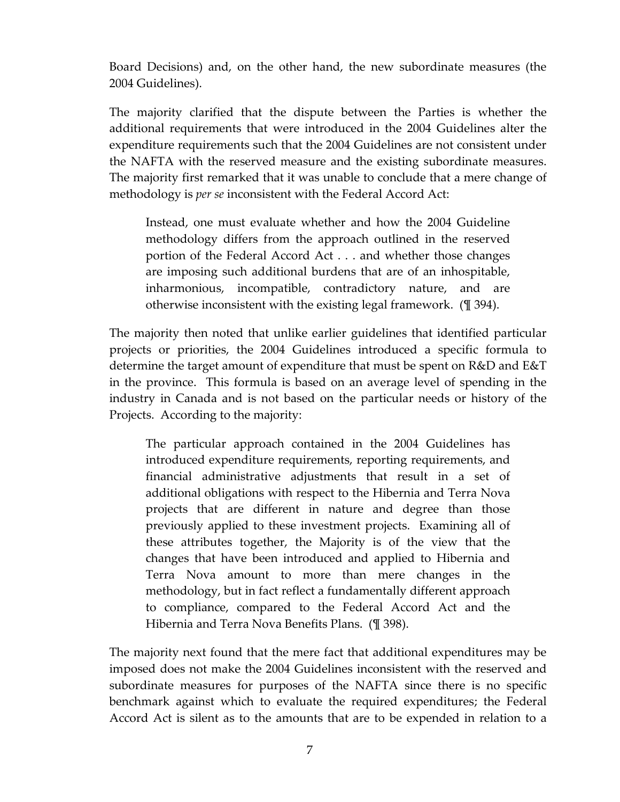Board Decisions) and, on the other hand, the new subordinate measures (the 2004 Guidelines).

The majority clarified that the dispute between the Parties is whether the additional requirements that were introduced in the 2004 Guidelines alter the expenditure requirements such that the 2004 Guidelines are not consistent under the NAFTA with the reserved measure and the existing subordinate measures. The majority first remarked that it was unable to conclude that a mere change of methodology is *per se* inconsistent with the Federal Accord Act:

Instead, one must evaluate whether and how the 2004 Guideline methodology differs from the approach outlined in the reserved portion of the Federal Accord Act . . . and whether those changes are imposing such additional burdens that are of an inhospitable, inharmonious, incompatible, contradictory nature, and are otherwise inconsistent with the existing legal framework. (¶ 394).

The majority then noted that unlike earlier guidelines that identified particular projects or priorities, the 2004 Guidelines introduced a specific formula to determine the target amount of expenditure that must be spent on R&D and E&T in the province. This formula is based on an average level of spending in the industry in Canada and is not based on the particular needs or history of the Projects. According to the majority:

The particular approach contained in the 2004 Guidelines has introduced expenditure requirements, reporting requirements, and financial administrative adjustments that result in a set of additional obligations with respect to the Hibernia and Terra Nova projects that are different in nature and degree than those previously applied to these investment projects. Examining all of these attributes together, the Majority is of the view that the changes that have been introduced and applied to Hibernia and Terra Nova amount to more than mere changes in the methodology, but in fact reflect a fundamentally different approach to compliance, compared to the Federal Accord Act and the Hibernia and Terra Nova Benefits Plans. (¶ 398).

The majority next found that the mere fact that additional expenditures may be imposed does not make the 2004 Guidelines inconsistent with the reserved and subordinate measures for purposes of the NAFTA since there is no specific benchmark against which to evaluate the required expenditures; the Federal Accord Act is silent as to the amounts that are to be expended in relation to a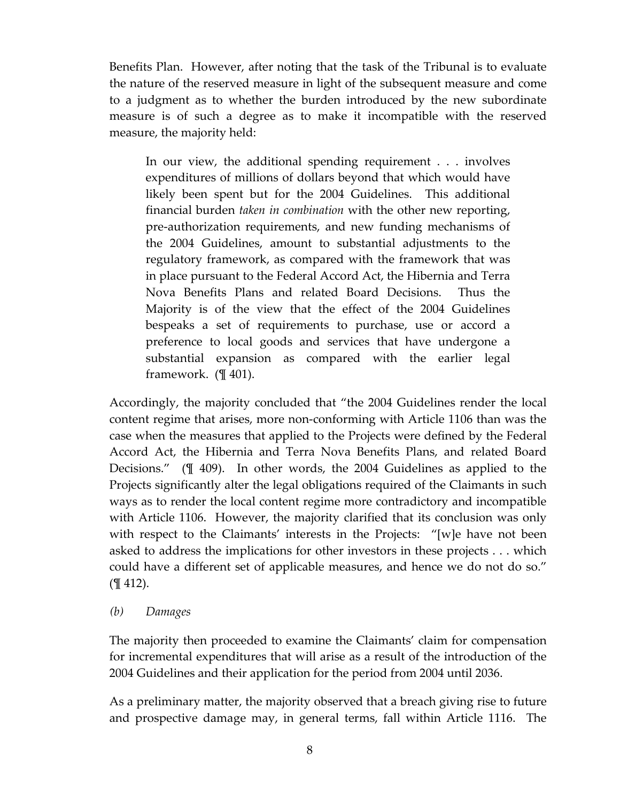Benefits Plan. However, after noting that the task of the Tribunal is to evaluate the nature of the reserved measure in light of the subsequent measure and come to a judgment as to whether the burden introduced by the new subordinate measure is of such a degree as to make it incompatible with the reserved measure, the majority held:

In our view, the additional spending requirement . . . involves expenditures of millions of dollars beyond that which would have likely been spent but for the 2004 Guidelines. This additional financial burden *taken in combination* with the other new reporting, pre-authorization requirements, and new funding mechanisms of the 2004 Guidelines, amount to substantial adjustments to the regulatory framework, as compared with the framework that was in place pursuant to the Federal Accord Act, the Hibernia and Terra Nova Benefits Plans and related Board Decisions. Thus the Majority is of the view that the effect of the 2004 Guidelines bespeaks a set of requirements to purchase, use or accord a preference to local goods and services that have undergone a substantial expansion as compared with the earlier legal framework. (¶ 401).

Accordingly, the majority concluded that "the 2004 Guidelines render the local content regime that arises, more non-conforming with Article 1106 than was the case when the measures that applied to the Projects were defined by the Federal Accord Act, the Hibernia and Terra Nova Benefits Plans, and related Board Decisions." (¶ 409). In other words, the 2004 Guidelines as applied to the Projects significantly alter the legal obligations required of the Claimants in such ways as to render the local content regime more contradictory and incompatible with Article 1106. However, the majority clarified that its conclusion was only with respect to the Claimants' interests in the Projects: "[w]e have not been asked to address the implications for other investors in these projects . . . which could have a different set of applicable measures, and hence we do not do so." (¶ 412).

#### *(b) Damages*

The majority then proceeded to examine the Claimants' claim for compensation for incremental expenditures that will arise as a result of the introduction of the 2004 Guidelines and their application for the period from 2004 until 2036.

As a preliminary matter, the majority observed that a breach giving rise to future and prospective damage may, in general terms, fall within Article 1116. The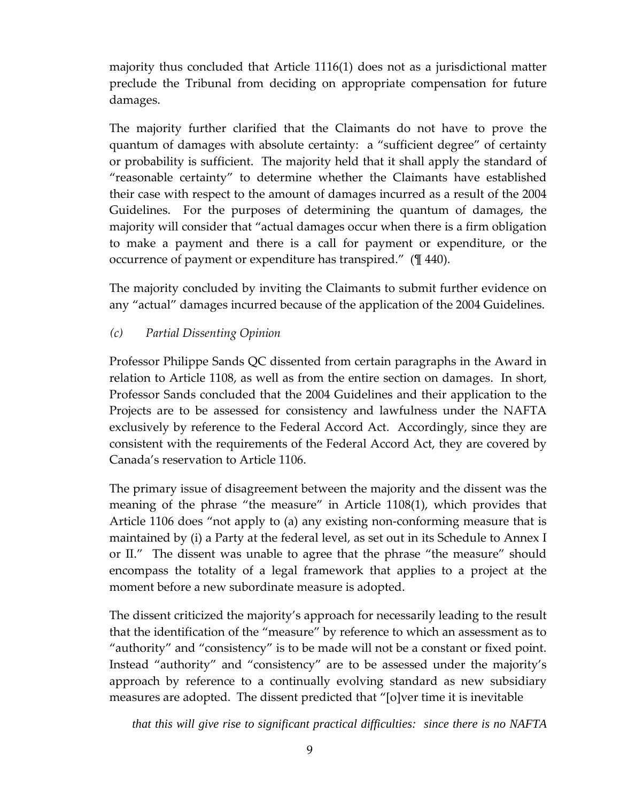majority thus concluded that Article 1116(1) does not as a jurisdictional matter preclude the Tribunal from deciding on appropriate compensation for future damages.

The majority further clarified that the Claimants do not have to prove the quantum of damages with absolute certainty: a "sufficient degree" of certainty or probability is sufficient. The majority held that it shall apply the standard of "reasonable certainty" to determine whether the Claimants have established their case with respect to the amount of damages incurred as a result of the 2004 Guidelines. For the purposes of determining the quantum of damages, the majority will consider that "actual damages occur when there is a firm obligation to make a payment and there is a call for payment or expenditure, or the occurrence of payment or expenditure has transpired." (¶ 440).

The majority concluded by inviting the Claimants to submit further evidence on any "actual" damages incurred because of the application of the 2004 Guidelines.

# *(c) Partial Dissenting Opinion*

Professor Philippe Sands QC dissented from certain paragraphs in the Award in relation to Article 1108, as well as from the entire section on damages. In short, Professor Sands concluded that the 2004 Guidelines and their application to the Projects are to be assessed for consistency and lawfulness under the NAFTA exclusively by reference to the Federal Accord Act. Accordingly, since they are consistent with the requirements of the Federal Accord Act, they are covered by Canada's reservation to Article 1106.

The primary issue of disagreement between the majority and the dissent was the meaning of the phrase "the measure" in Article 1108(1), which provides that Article 1106 does "not apply to (a) any existing non-conforming measure that is maintained by (i) a Party at the federal level, as set out in its Schedule to Annex I or II." The dissent was unable to agree that the phrase "the measure" should encompass the totality of a legal framework that applies to a project at the moment before a new subordinate measure is adopted.

The dissent criticized the majority's approach for necessarily leading to the result that the identification of the "measure" by reference to which an assessment as to "authority" and "consistency" is to be made will not be a constant or fixed point. Instead "authority" and "consistency" are to be assessed under the majority's approach by reference to a continually evolving standard as new subsidiary measures are adopted. The dissent predicted that "[o]ver time it is inevitable

*that this will give rise to significant practical difficulties: since there is no NAFTA*